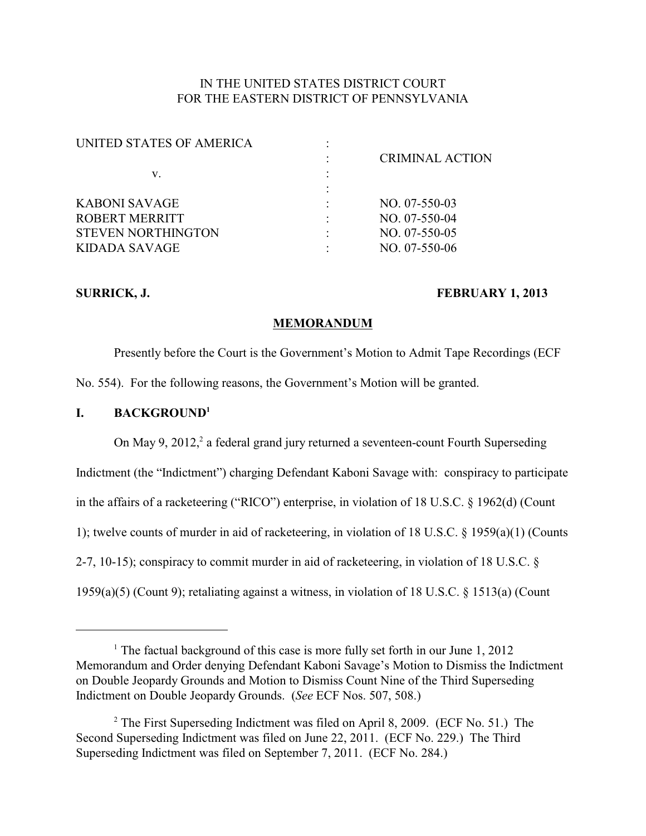# IN THE UNITED STATES DISTRICT COURT FOR THE EASTERN DISTRICT OF PENNSYLVANIA

| UNITED STATES OF AMERICA  |                        |
|---------------------------|------------------------|
|                           | <b>CRIMINAL ACTION</b> |
| v.                        |                        |
|                           |                        |
| KABONI SAVAGE             | $NO. 07-550-03$        |
| ROBERT MERRITT            | $NO. 07-550-04$        |
| <b>STEVEN NORTHINGTON</b> | $NO. 07-550-05$        |
| KIDADA SAVAGE             | NO. 07-550-06          |
|                           |                        |

## **SURRICK, J. FEBRUARY 1, 2013**

## **MEMORANDUM**

Presently before the Court is the Government's Motion to Admit Tape Recordings (ECF No. 554). For the following reasons, the Government's Motion will be granted.

# **I. BACKGROUND<sup>1</sup>**

On May 9, 2012,<sup>2</sup> a federal grand jury returned a seventeen-count Fourth Superseding Indictment (the "Indictment") charging Defendant Kaboni Savage with: conspiracy to participate in the affairs of a racketeering ("RICO") enterprise, in violation of 18 U.S.C. § 1962(d) (Count 1); twelve counts of murder in aid of racketeering, in violation of 18 U.S.C. § 1959(a)(1) (Counts 2-7, 10-15); conspiracy to commit murder in aid of racketeering, in violation of 18 U.S.C. § 1959(a)(5) (Count 9); retaliating against a witness, in violation of 18 U.S.C. § 1513(a) (Count

<sup>&</sup>lt;sup>1</sup> The factual background of this case is more fully set forth in our June 1, 2012 Memorandum and Order denying Defendant Kaboni Savage's Motion to Dismiss the Indictment on Double Jeopardy Grounds and Motion to Dismiss Count Nine of the Third Superseding Indictment on Double Jeopardy Grounds. (*See* ECF Nos. 507, 508.)

 $2$  The First Superseding Indictment was filed on April 8, 2009. (ECF No. 51.) The Second Superseding Indictment was filed on June 22, 2011. (ECF No. 229.) The Third Superseding Indictment was filed on September 7, 2011. (ECF No. 284.)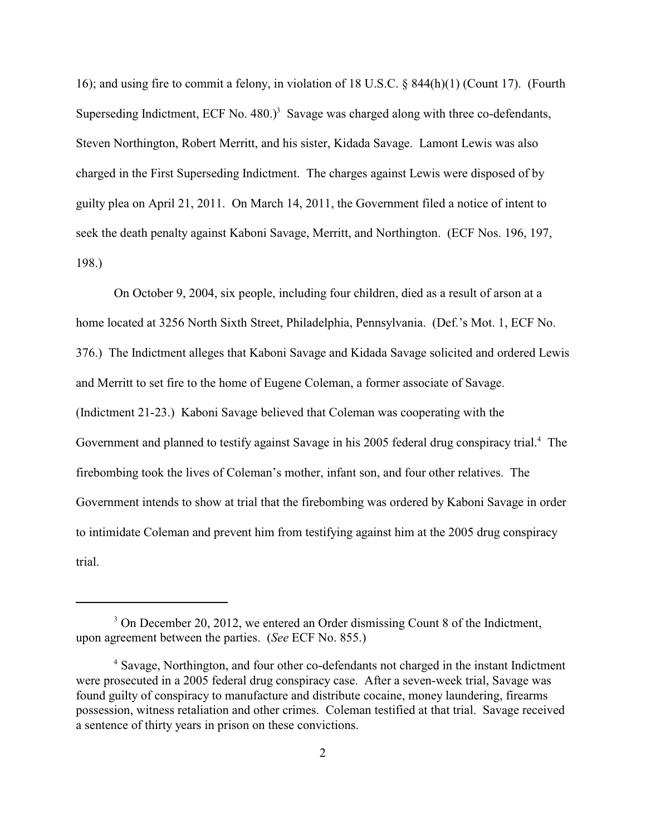16); and using fire to commit a felony, in violation of 18 U.S.C. § 844(h)(1) (Count 17). (Fourth Superseding Indictment, ECF No.  $480.$ <sup>3</sup> Savage was charged along with three co-defendants, Steven Northington, Robert Merritt, and his sister, Kidada Savage. Lamont Lewis was also charged in the First Superseding Indictment. The charges against Lewis were disposed of by guilty plea on April 21, 2011. On March 14, 2011, the Government filed a notice of intent to seek the death penalty against Kaboni Savage, Merritt, and Northington. (ECF Nos. 196, 197, 198.)

On October 9, 2004, six people, including four children, died as a result of arson at a home located at 3256 North Sixth Street, Philadelphia, Pennsylvania. (Def.'s Mot. 1, ECF No. 376.) The Indictment alleges that Kaboni Savage and Kidada Savage solicited and ordered Lewis and Merritt to set fire to the home of Eugene Coleman, a former associate of Savage. (Indictment 21-23.) Kaboni Savage believed that Coleman was cooperating with the Government and planned to testify against Savage in his 2005 federal drug conspiracy trial.<sup>4</sup> The firebombing took the lives of Coleman's mother, infant son, and four other relatives. The Government intends to show at trial that the firebombing was ordered by Kaboni Savage in order to intimidate Coleman and prevent him from testifying against him at the 2005 drug conspiracy trial.

<sup>&</sup>lt;sup>3</sup> On December 20, 2012, we entered an Order dismissing Count 8 of the Indictment, upon agreement between the parties. (*See* ECF No. 855.)

<sup>&</sup>lt;sup>4</sup> Savage, Northington, and four other co-defendants not charged in the instant Indictment were prosecuted in a 2005 federal drug conspiracy case. After a seven-week trial, Savage was found guilty of conspiracy to manufacture and distribute cocaine, money laundering, firearms possession, witness retaliation and other crimes. Coleman testified at that trial. Savage received a sentence of thirty years in prison on these convictions.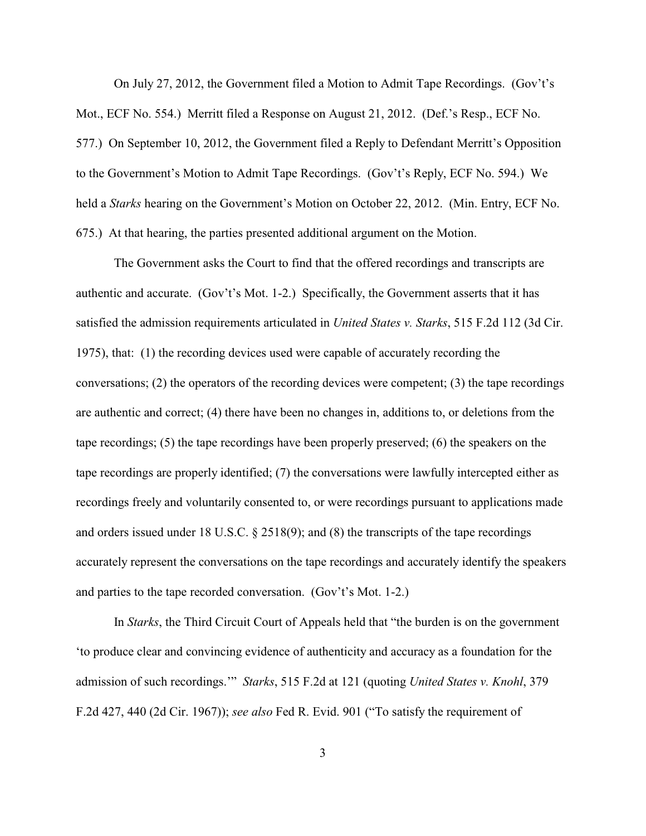On July 27, 2012, the Government filed a Motion to Admit Tape Recordings. (Gov't's Mot., ECF No. 554.) Merritt filed a Response on August 21, 2012. (Def.'s Resp., ECF No. 577.) On September 10, 2012, the Government filed a Reply to Defendant Merritt's Opposition to the Government's Motion to Admit Tape Recordings. (Gov't's Reply, ECF No. 594.) We held a *Starks* hearing on the Government's Motion on October 22, 2012. (Min. Entry, ECF No. 675.) At that hearing, the parties presented additional argument on the Motion.

The Government asks the Court to find that the offered recordings and transcripts are authentic and accurate. (Gov't's Mot. 1-2.) Specifically, the Government asserts that it has satisfied the admission requirements articulated in *United States v. Starks*, 515 F.2d 112 (3d Cir. 1975), that: (1) the recording devices used were capable of accurately recording the conversations; (2) the operators of the recording devices were competent; (3) the tape recordings are authentic and correct; (4) there have been no changes in, additions to, or deletions from the tape recordings; (5) the tape recordings have been properly preserved; (6) the speakers on the tape recordings are properly identified; (7) the conversations were lawfully intercepted either as recordings freely and voluntarily consented to, or were recordings pursuant to applications made and orders issued under 18 U.S.C. § 2518(9); and (8) the transcripts of the tape recordings accurately represent the conversations on the tape recordings and accurately identify the speakers and parties to the tape recorded conversation. (Gov't's Mot. 1-2.)

In *Starks*, the Third Circuit Court of Appeals held that "the burden is on the government 'to produce clear and convincing evidence of authenticity and accuracy as a foundation for the admission of such recordings.'" *Starks*, 515 F.2d at 121 (quoting *United States v. Knohl*, 379 F.2d 427, 440 (2d Cir. 1967)); *see also* Fed R. Evid. 901 ("To satisfy the requirement of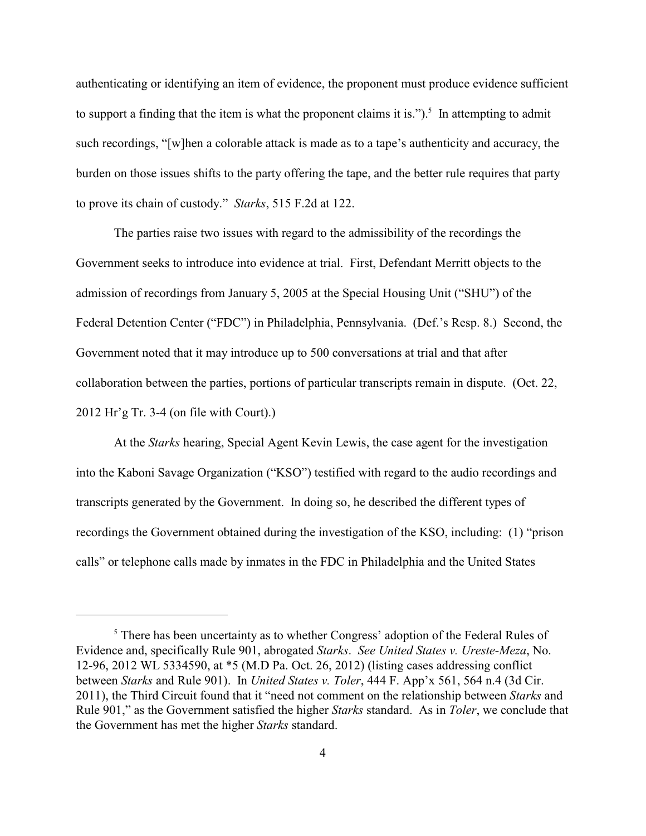authenticating or identifying an item of evidence, the proponent must produce evidence sufficient to support a finding that the item is what the proponent claims it is.").<sup>5</sup> In attempting to admit such recordings, "[w]hen a colorable attack is made as to a tape's authenticity and accuracy, the burden on those issues shifts to the party offering the tape, and the better rule requires that party to prove its chain of custody." *Starks*, 515 F.2d at 122.

The parties raise two issues with regard to the admissibility of the recordings the Government seeks to introduce into evidence at trial. First, Defendant Merritt objects to the admission of recordings from January 5, 2005 at the Special Housing Unit ("SHU") of the Federal Detention Center ("FDC") in Philadelphia, Pennsylvania. (Def.'s Resp. 8.) Second, the Government noted that it may introduce up to 500 conversations at trial and that after collaboration between the parties, portions of particular transcripts remain in dispute. (Oct. 22, 2012 Hr'g Tr. 3-4 (on file with Court).)

At the *Starks* hearing, Special Agent Kevin Lewis, the case agent for the investigation into the Kaboni Savage Organization ("KSO") testified with regard to the audio recordings and transcripts generated by the Government. In doing so, he described the different types of recordings the Government obtained during the investigation of the KSO, including: (1) "prison calls" or telephone calls made by inmates in the FDC in Philadelphia and the United States

 $5$  There has been uncertainty as to whether Congress' adoption of the Federal Rules of Evidence and, specifically Rule 901, abrogated *Starks*. *See United States v. Ureste-Meza*, No. 12-96, 2012 WL 5334590, at \*5 (M.D Pa. Oct. 26, 2012) (listing cases addressing conflict between *Starks* and Rule 901). In *United States v. Toler*, 444 F. App'x 561, 564 n.4 (3d Cir. 2011), the Third Circuit found that it "need not comment on the relationship between *Starks* and Rule 901," as the Government satisfied the higher *Starks* standard. As in *Toler*, we conclude that the Government has met the higher *Starks* standard.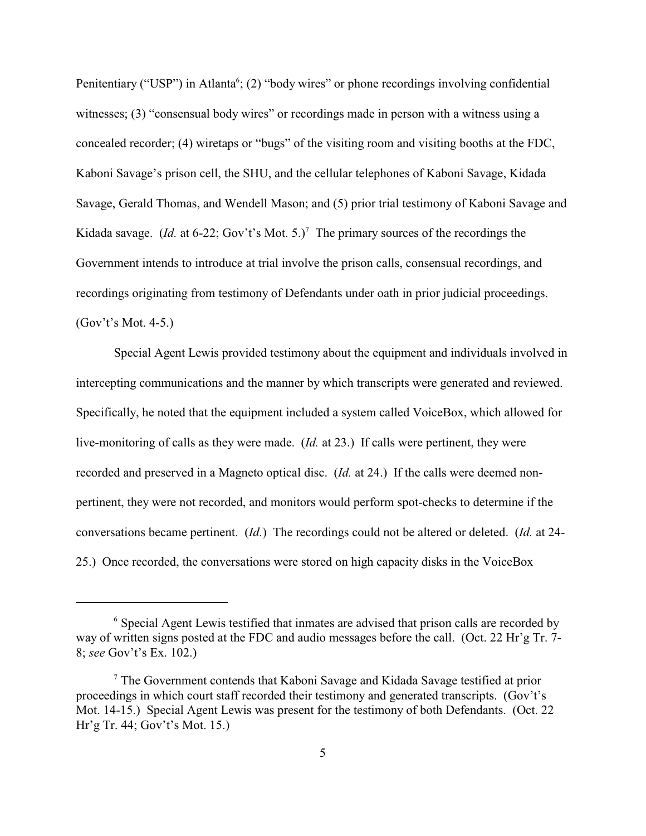Penitentiary ("USP") in Atlanta<sup>6</sup>; (2) "body wires" or phone recordings involving confidential witnesses; (3) "consensual body wires" or recordings made in person with a witness using a concealed recorder; (4) wiretaps or "bugs" of the visiting room and visiting booths at the FDC, Kaboni Savage's prison cell, the SHU, and the cellular telephones of Kaboni Savage, Kidada Savage, Gerald Thomas, and Wendell Mason; and (5) prior trial testimony of Kaboni Savage and Kidada savage. (*Id.* at 6-22; Gov't's Mot. 5.)<sup>7</sup> The primary sources of the recordings the Government intends to introduce at trial involve the prison calls, consensual recordings, and recordings originating from testimony of Defendants under oath in prior judicial proceedings. (Gov't's Mot. 4-5.)

Special Agent Lewis provided testimony about the equipment and individuals involved in intercepting communications and the manner by which transcripts were generated and reviewed. Specifically, he noted that the equipment included a system called VoiceBox, which allowed for live-monitoring of calls as they were made. (*Id.* at 23.) If calls were pertinent, they were recorded and preserved in a Magneto optical disc. (*Id.* at 24.) If the calls were deemed nonpertinent, they were not recorded, and monitors would perform spot-checks to determine if the conversations became pertinent. (*Id.*) The recordings could not be altered or deleted. (*Id.* at 24- 25.) Once recorded, the conversations were stored on high capacity disks in the VoiceBox

 $<sup>6</sup>$  Special Agent Lewis testified that inmates are advised that prison calls are recorded by</sup> way of written signs posted at the FDC and audio messages before the call. (Oct. 22 Hr'g Tr. 7- 8; *see* Gov't's Ex. 102.)

 $\frac{7}{7}$  The Government contends that Kaboni Savage and Kidada Savage testified at prior proceedings in which court staff recorded their testimony and generated transcripts. (Gov't's Mot. 14-15.) Special Agent Lewis was present for the testimony of both Defendants. (Oct. 22 Hr'g Tr. 44; Gov't's Mot. 15.)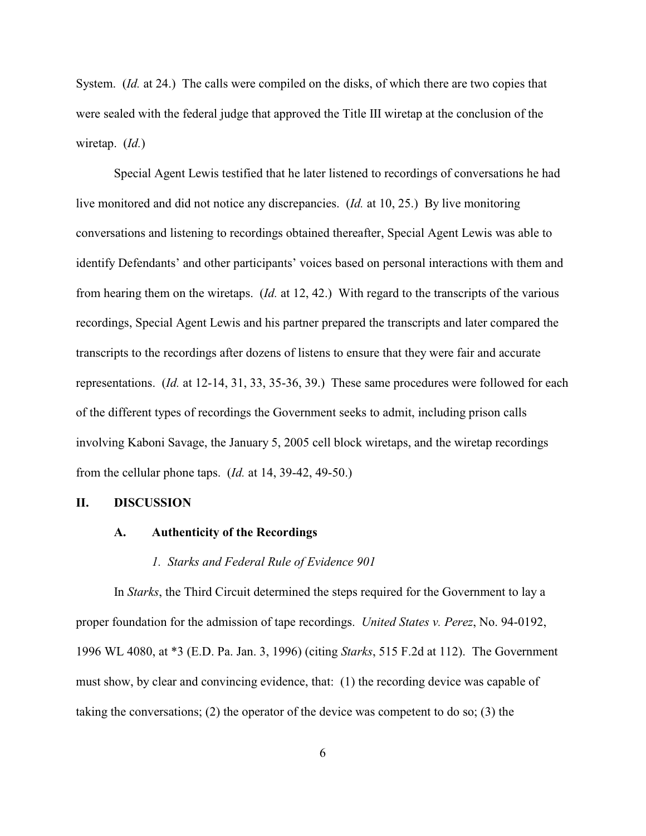System. *(Id.* at 24.) The calls were compiled on the disks, of which there are two copies that were sealed with the federal judge that approved the Title III wiretap at the conclusion of the wiretap. (*Id.*)

Special Agent Lewis testified that he later listened to recordings of conversations he had live monitored and did not notice any discrepancies. (*Id.* at 10, 25.) By live monitoring conversations and listening to recordings obtained thereafter, Special Agent Lewis was able to identify Defendants' and other participants' voices based on personal interactions with them and from hearing them on the wiretaps. (*Id.* at 12, 42.) With regard to the transcripts of the various recordings, Special Agent Lewis and his partner prepared the transcripts and later compared the transcripts to the recordings after dozens of listens to ensure that they were fair and accurate representations. (*Id.* at 12-14, 31, 33, 35-36, 39.) These same procedures were followed for each of the different types of recordings the Government seeks to admit, including prison calls involving Kaboni Savage, the January 5, 2005 cell block wiretaps, and the wiretap recordings from the cellular phone taps. (*Id.* at 14, 39-42, 49-50.)

#### **II. DISCUSSION**

#### **A. Authenticity of the Recordings**

#### *1. Starks and Federal Rule of Evidence 901*

In *Starks*, the Third Circuit determined the steps required for the Government to lay a proper foundation for the admission of tape recordings. *United States v. Perez*, No. 94-0192, 1996 WL 4080, at \*3 (E.D. Pa. Jan. 3, 1996) (citing *Starks*, 515 F.2d at 112). The Government must show, by clear and convincing evidence, that: (1) the recording device was capable of taking the conversations; (2) the operator of the device was competent to do so; (3) the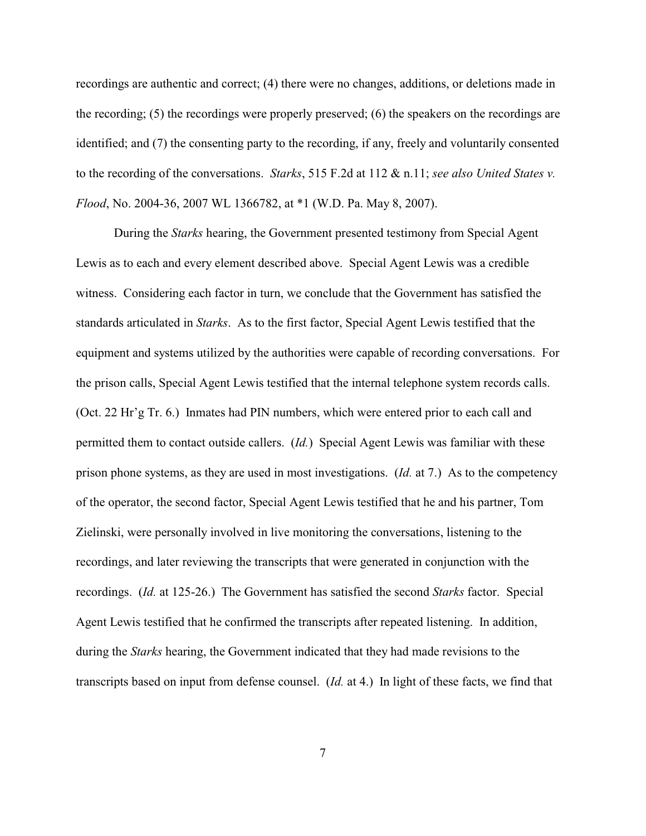recordings are authentic and correct; (4) there were no changes, additions, or deletions made in the recording; (5) the recordings were properly preserved; (6) the speakers on the recordings are identified; and (7) the consenting party to the recording, if any, freely and voluntarily consented to the recording of the conversations. *Starks*, 515 F.2d at 112 & n.11; *see also United States v. Flood*, No. 2004-36, 2007 WL 1366782, at \*1 (W.D. Pa. May 8, 2007).

During the *Starks* hearing, the Government presented testimony from Special Agent Lewis as to each and every element described above. Special Agent Lewis was a credible witness. Considering each factor in turn, we conclude that the Government has satisfied the standards articulated in *Starks*. As to the first factor, Special Agent Lewis testified that the equipment and systems utilized by the authorities were capable of recording conversations. For the prison calls, Special Agent Lewis testified that the internal telephone system records calls. (Oct. 22 Hr'g Tr. 6.) Inmates had PIN numbers, which were entered prior to each call and permitted them to contact outside callers. (*Id.*) Special Agent Lewis was familiar with these prison phone systems, as they are used in most investigations. (*Id.* at 7.) As to the competency of the operator, the second factor, Special Agent Lewis testified that he and his partner, Tom Zielinski, were personally involved in live monitoring the conversations, listening to the recordings, and later reviewing the transcripts that were generated in conjunction with the recordings. (*Id.* at 125-26.) The Government has satisfied the second *Starks* factor. Special Agent Lewis testified that he confirmed the transcripts after repeated listening. In addition, during the *Starks* hearing, the Government indicated that they had made revisions to the transcripts based on input from defense counsel. (*Id.* at 4.) In light of these facts, we find that

7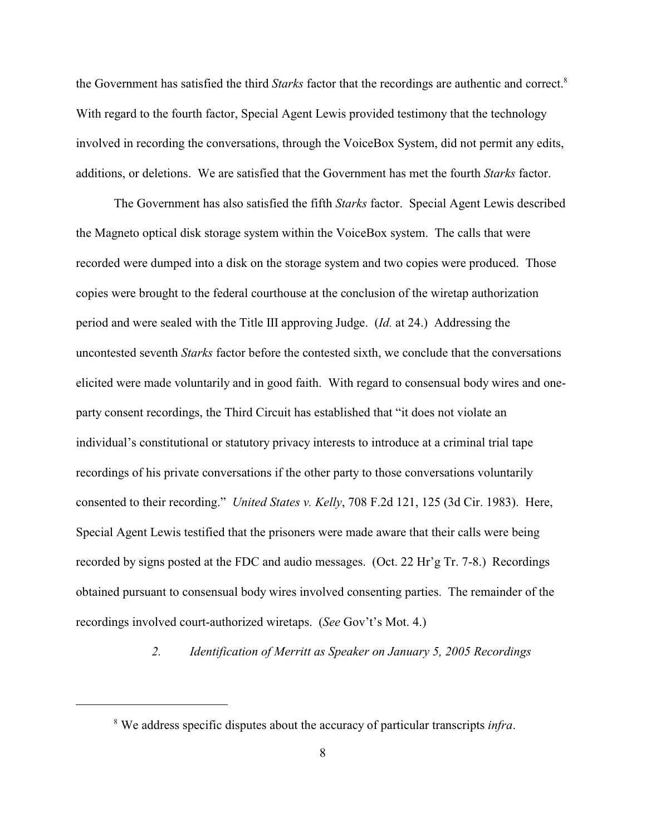the Government has satisfied the third *Starks* factor that the recordings are authentic and correct.<sup>8</sup> With regard to the fourth factor, Special Agent Lewis provided testimony that the technology involved in recording the conversations, through the VoiceBox System, did not permit any edits, additions, or deletions. We are satisfied that the Government has met the fourth *Starks* factor.

The Government has also satisfied the fifth *Starks* factor. Special Agent Lewis described the Magneto optical disk storage system within the VoiceBox system. The calls that were recorded were dumped into a disk on the storage system and two copies were produced. Those copies were brought to the federal courthouse at the conclusion of the wiretap authorization period and were sealed with the Title III approving Judge. (*Id.* at 24.) Addressing the uncontested seventh *Starks* factor before the contested sixth, we conclude that the conversations elicited were made voluntarily and in good faith. With regard to consensual body wires and oneparty consent recordings, the Third Circuit has established that "it does not violate an individual's constitutional or statutory privacy interests to introduce at a criminal trial tape recordings of his private conversations if the other party to those conversations voluntarily consented to their recording." *United States v. Kelly*, 708 F.2d 121, 125 (3d Cir. 1983). Here, Special Agent Lewis testified that the prisoners were made aware that their calls were being recorded by signs posted at the FDC and audio messages. (Oct. 22 Hr'g Tr. 7-8.) Recordings obtained pursuant to consensual body wires involved consenting parties. The remainder of the recordings involved court-authorized wiretaps. (*See* Gov't's Mot. 4.)

*2. Identification of Merritt as Speaker on January 5, 2005 Recordings*

We address specific disputes about the accuracy of particular transcripts *infra*. 8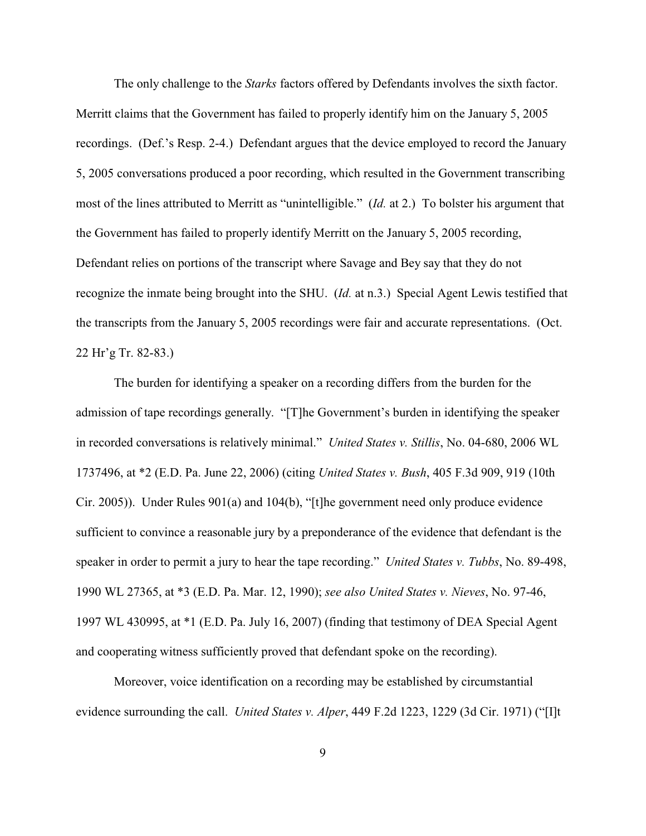The only challenge to the *Starks* factors offered by Defendants involves the sixth factor. Merritt claims that the Government has failed to properly identify him on the January 5, 2005 recordings. (Def.'s Resp. 2-4.) Defendant argues that the device employed to record the January 5, 2005 conversations produced a poor recording, which resulted in the Government transcribing most of the lines attributed to Merritt as "unintelligible." (*Id.* at 2.) To bolster his argument that the Government has failed to properly identify Merritt on the January 5, 2005 recording, Defendant relies on portions of the transcript where Savage and Bey say that they do not recognize the inmate being brought into the SHU. (*Id.* at n.3.) Special Agent Lewis testified that the transcripts from the January 5, 2005 recordings were fair and accurate representations. (Oct. 22 Hr'g Tr. 82-83.)

The burden for identifying a speaker on a recording differs from the burden for the admission of tape recordings generally. "[T]he Government's burden in identifying the speaker in recorded conversations is relatively minimal." *United States v. Stillis*, No. 04-680, 2006 WL 1737496, at \*2 (E.D. Pa. June 22, 2006) (citing *United States v. Bush*, 405 F.3d 909, 919 (10th Cir. 2005)). Under Rules 901(a) and 104(b), "[t]he government need only produce evidence sufficient to convince a reasonable jury by a preponderance of the evidence that defendant is the speaker in order to permit a jury to hear the tape recording." *United States v. Tubbs*, No. 89-498, 1990 WL 27365, at \*3 (E.D. Pa. Mar. 12, 1990); *see also United States v. Nieves*, No. 97-46, 1997 WL 430995, at \*1 (E.D. Pa. July 16, 2007) (finding that testimony of DEA Special Agent and cooperating witness sufficiently proved that defendant spoke on the recording).

Moreover, voice identification on a recording may be established by circumstantial evidence surrounding the call. *United States v. Alper*, 449 F.2d 1223, 1229 (3d Cir. 1971) ("[I]t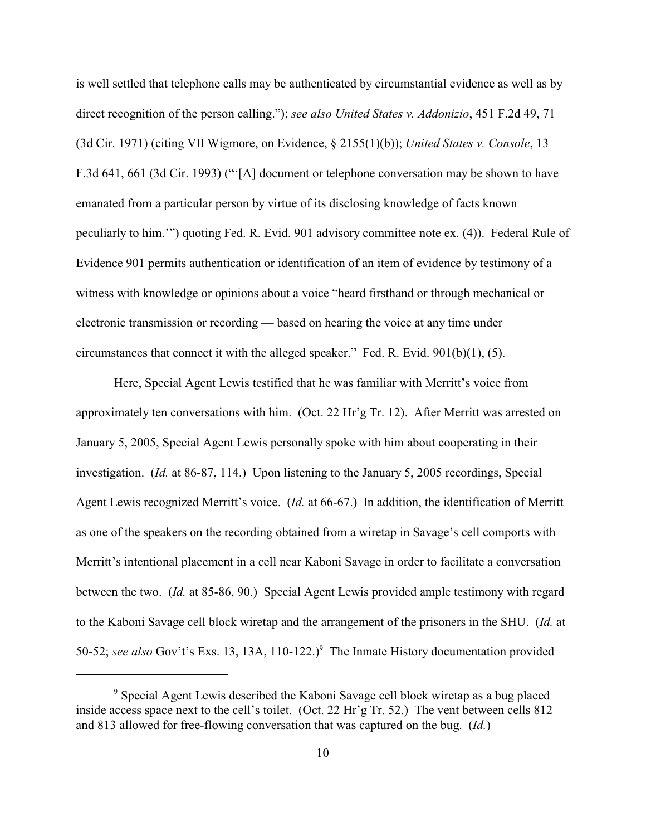is well settled that telephone calls may be authenticated by circumstantial evidence as well as by direct recognition of the person calling."); *see also United States v. Addonizio*, 451 F.2d 49, 71 (3d Cir. 1971) (citing VII Wigmore, on Evidence, § 2155(1)(b)); *United States v. Console*, 13 F.3d 641, 661 (3d Cir. 1993) ("'[A] document or telephone conversation may be shown to have emanated from a particular person by virtue of its disclosing knowledge of facts known peculiarly to him.'") quoting Fed. R. Evid. 901 advisory committee note ex. (4)). Federal Rule of Evidence 901 permits authentication or identification of an item of evidence by testimony of a witness with knowledge or opinions about a voice "heard firsthand or through mechanical or electronic transmission or recording — based on hearing the voice at any time under circumstances that connect it with the alleged speaker." Fed. R. Evid. 901(b)(1), (5).

Here, Special Agent Lewis testified that he was familiar with Merritt's voice from approximately ten conversations with him. (Oct. 22 Hr'g Tr. 12). After Merritt was arrested on January 5, 2005, Special Agent Lewis personally spoke with him about cooperating in their investigation. (*Id.* at 86-87, 114.) Upon listening to the January 5, 2005 recordings, Special Agent Lewis recognized Merritt's voice. (*Id.* at 66-67.) In addition, the identification of Merritt as one of the speakers on the recording obtained from a wiretap in Savage's cell comports with Merritt's intentional placement in a cell near Kaboni Savage in order to facilitate a conversation between the two. (*Id.* at 85-86, 90.) Special Agent Lewis provided ample testimony with regard to the Kaboni Savage cell block wiretap and the arrangement of the prisoners in the SHU. (*Id.* at 50-52; see also Gov't's Exs. 13, 13A, 110-122.)<sup>9</sup> The Inmate History documentation provided

<sup>&</sup>lt;sup>9</sup> Special Agent Lewis described the Kaboni Savage cell block wiretap as a bug placed inside access space next to the cell's toilet. (Oct. 22 Hr'g Tr. 52.) The vent between cells 812 and 813 allowed for free-flowing conversation that was captured on the bug. (*Id.*)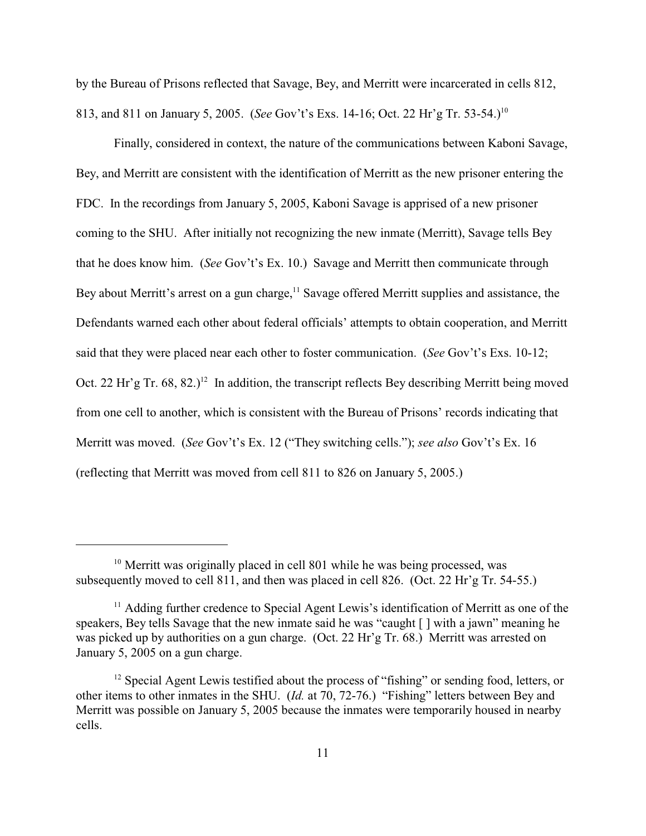by the Bureau of Prisons reflected that Savage, Bey, and Merritt were incarcerated in cells 812, 813, and 811 on January 5, 2005. (*See* Gov't's Exs. 14-16; Oct. 22 Hr'g Tr. 53-54.) 10

Finally, considered in context, the nature of the communications between Kaboni Savage, Bey, and Merritt are consistent with the identification of Merritt as the new prisoner entering the FDC. In the recordings from January 5, 2005, Kaboni Savage is apprised of a new prisoner coming to the SHU. After initially not recognizing the new inmate (Merritt), Savage tells Bey that he does know him. (*See* Gov't's Ex. 10.) Savage and Merritt then communicate through Bey about Merritt's arrest on a gun charge,  $11$  Savage offered Merritt supplies and assistance, the Defendants warned each other about federal officials' attempts to obtain cooperation, and Merritt said that they were placed near each other to foster communication. (*See* Gov't's Exs. 10-12; Oct. 22 Hr'g Tr.  $68$ ,  $(82.)^{12}$  In addition, the transcript reflects Bey describing Merritt being moved from one cell to another, which is consistent with the Bureau of Prisons' records indicating that Merritt was moved. (*See* Gov't's Ex. 12 ("They switching cells."); *see also* Gov't's Ex. 16 (reflecting that Merritt was moved from cell 811 to 826 on January 5, 2005.)

 $10$  Merritt was originally placed in cell 801 while he was being processed, was subsequently moved to cell 811, and then was placed in cell 826. (Oct. 22 Hr'g Tr. 54-55.)

 $<sup>11</sup>$  Adding further credence to Special Agent Lewis's identification of Merritt as one of the</sup> speakers, Bey tells Savage that the new inmate said he was "caught [ ] with a jawn" meaning he was picked up by authorities on a gun charge. (Oct. 22 Hr'g Tr. 68.) Merritt was arrested on January 5, 2005 on a gun charge.

 $12$  Special Agent Lewis testified about the process of "fishing" or sending food, letters, or other items to other inmates in the SHU. (*Id.* at 70, 72-76.) "Fishing" letters between Bey and Merritt was possible on January 5, 2005 because the inmates were temporarily housed in nearby cells.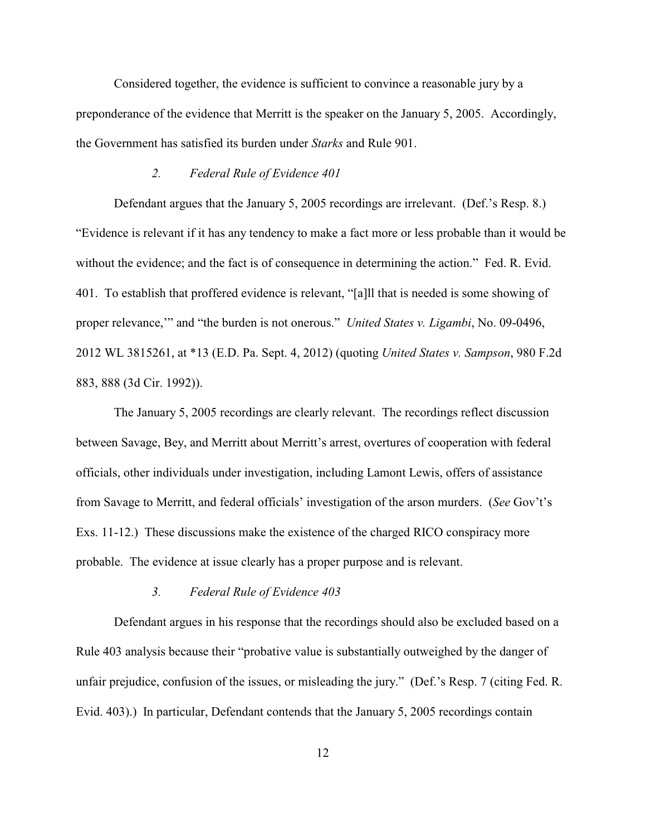Considered together, the evidence is sufficient to convince a reasonable jury by a preponderance of the evidence that Merritt is the speaker on the January 5, 2005.Accordingly, the Government has satisfied its burden under *Starks* and Rule 901.

### *2. Federal Rule of Evidence 401*

Defendant argues that the January 5, 2005 recordings are irrelevant. (Def.'s Resp. 8.) "Evidence is relevant if it has any tendency to make a fact more or less probable than it would be without the evidence; and the fact is of consequence in determining the action." Fed. R. Evid. 401. To establish that proffered evidence is relevant, "[a]ll that is needed is some showing of proper relevance,'" and "the burden is not onerous." *United States v. Ligambi*, No. 09-0496, 2012 WL 3815261, at \*13 (E.D. Pa. Sept. 4, 2012) (quoting *United States v. Sampson*, 980 F.2d 883, 888 (3d Cir. 1992)).

The January 5, 2005 recordings are clearly relevant. The recordings reflect discussion between Savage, Bey, and Merritt about Merritt's arrest, overtures of cooperation with federal officials, other individuals under investigation, including Lamont Lewis, offers of assistance from Savage to Merritt, and federal officials' investigation of the arson murders. (*See* Gov't's Exs. 11-12.) These discussions make the existence of the charged RICO conspiracy more probable. The evidence at issue clearly has a proper purpose and is relevant.

# *3. Federal Rule of Evidence 403*

Defendant argues in his response that the recordings should also be excluded based on a Rule 403 analysis because their "probative value is substantially outweighed by the danger of unfair prejudice, confusion of the issues, or misleading the jury." (Def.'s Resp. 7 (citing Fed. R. Evid. 403).) In particular, Defendant contends that the January 5, 2005 recordings contain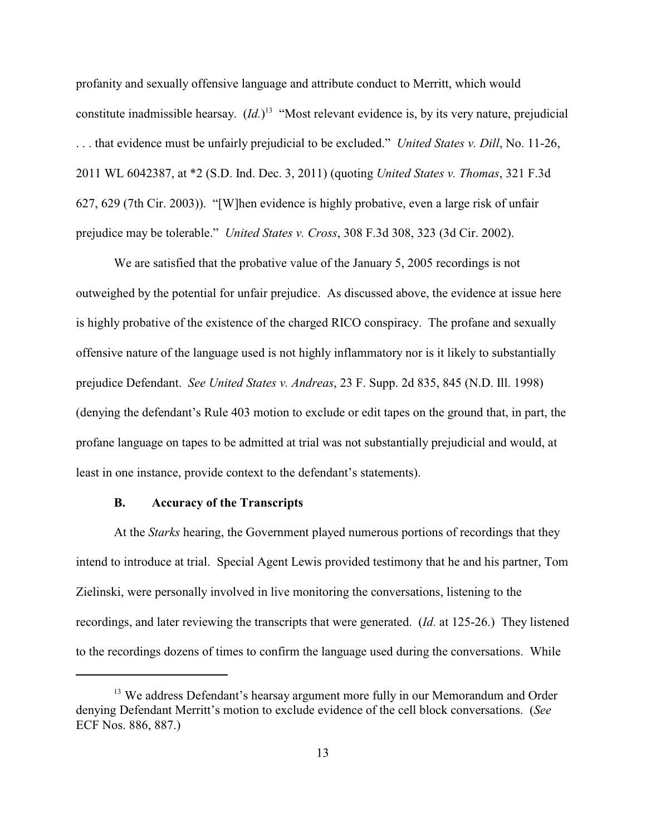profanity and sexually offensive language and attribute conduct to Merritt, which would constitute inadmissible hearsay.  $(Id.)<sup>13</sup>$  "Most relevant evidence is, by its very nature, prejudicial . . . that evidence must be unfairly prejudicial to be excluded." *United States v. Dill*, No. 11-26, 2011 WL 6042387, at \*2 (S.D. Ind. Dec. 3, 2011) (quoting *United States v. Thomas*, 321 F.3d 627, 629 (7th Cir. 2003)). "[W]hen evidence is highly probative, even a large risk of unfair prejudice may be tolerable." *United States v. Cross*, 308 F.3d 308, 323 (3d Cir. 2002).

We are satisfied that the probative value of the January 5, 2005 recordings is not outweighed by the potential for unfair prejudice. As discussed above, the evidence at issue here is highly probative of the existence of the charged RICO conspiracy. The profane and sexually offensive nature of the language used is not highly inflammatory nor is it likely to substantially prejudice Defendant. *See United States v. Andreas*, 23 F. Supp. 2d 835, 845 (N.D. Ill. 1998) (denying the defendant's Rule 403 motion to exclude or edit tapes on the ground that, in part, the profane language on tapes to be admitted at trial was not substantially prejudicial and would, at least in one instance, provide context to the defendant's statements).

### **B. Accuracy of the Transcripts**

At the *Starks* hearing, the Government played numerous portions of recordings that they intend to introduce at trial. Special Agent Lewis provided testimony that he and his partner, Tom Zielinski, were personally involved in live monitoring the conversations, listening to the recordings, and later reviewing the transcripts that were generated. (*Id.* at 125-26.) They listened to the recordings dozens of times to confirm the language used during the conversations. While

<sup>&</sup>lt;sup>13</sup> We address Defendant's hearsay argument more fully in our Memorandum and Order denying Defendant Merritt's motion to exclude evidence of the cell block conversations. (*See* ECF Nos. 886, 887.)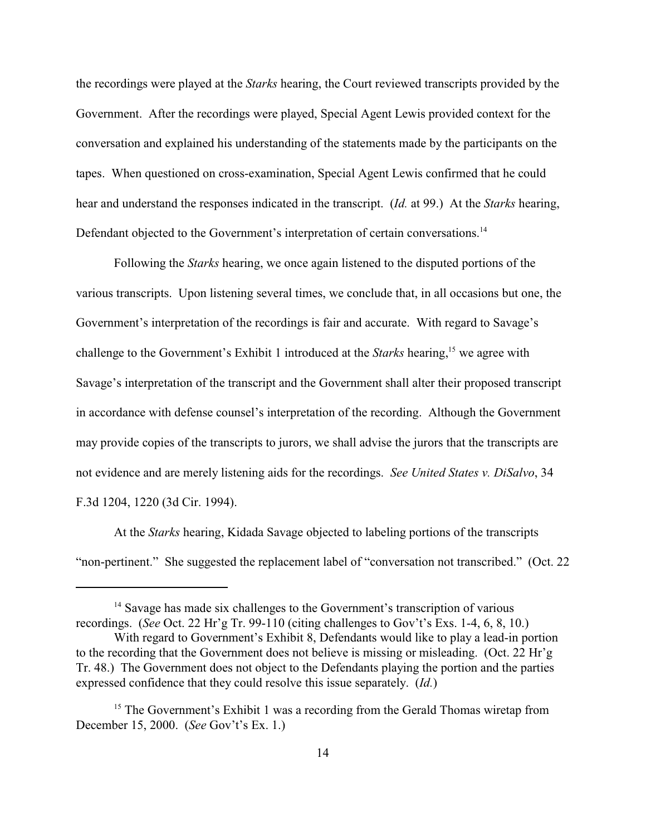the recordings were played at the *Starks* hearing, the Court reviewed transcripts provided by the Government. After the recordings were played, Special Agent Lewis provided context for the conversation and explained his understanding of the statements made by the participants on the tapes. When questioned on cross-examination, Special Agent Lewis confirmed that he could hear and understand the responses indicated in the transcript. (*Id.* at 99.) At the *Starks* hearing, Defendant objected to the Government's interpretation of certain conversations.<sup>14</sup>

Following the *Starks* hearing, we once again listened to the disputed portions of the various transcripts. Upon listening several times, we conclude that, in all occasions but one, the Government's interpretation of the recordings is fair and accurate. With regard to Savage's challenge to the Government's Exhibit 1 introduced at the *Starks* hearing,<sup>15</sup> we agree with Savage's interpretation of the transcript and the Government shall alter their proposed transcript in accordance with defense counsel's interpretation of the recording. Although the Government may provide copies of the transcripts to jurors, we shall advise the jurors that the transcripts are not evidence and are merely listening aids for the recordings. *See United States v. DiSalvo*, 34 F.3d 1204, 1220 (3d Cir. 1994).

At the *Starks* hearing, Kidada Savage objected to labeling portions of the transcripts "non-pertinent." She suggested the replacement label of "conversation not transcribed." (Oct. 22

 $14$  Savage has made six challenges to the Government's transcription of various recordings. (*See* Oct. 22 Hr'g Tr. 99-110 (citing challenges to Gov't's Exs. 1-4, 6, 8, 10.)

With regard to Government's Exhibit 8, Defendants would like to play a lead-in portion to the recording that the Government does not believe is missing or misleading. (Oct. 22 Hr'g Tr. 48.) The Government does not object to the Defendants playing the portion and the parties expressed confidence that they could resolve this issue separately. (*Id.*)

<sup>&</sup>lt;sup>15</sup> The Government's Exhibit 1 was a recording from the Gerald Thomas wiretap from December 15, 2000. (*See* Gov't's Ex. 1.)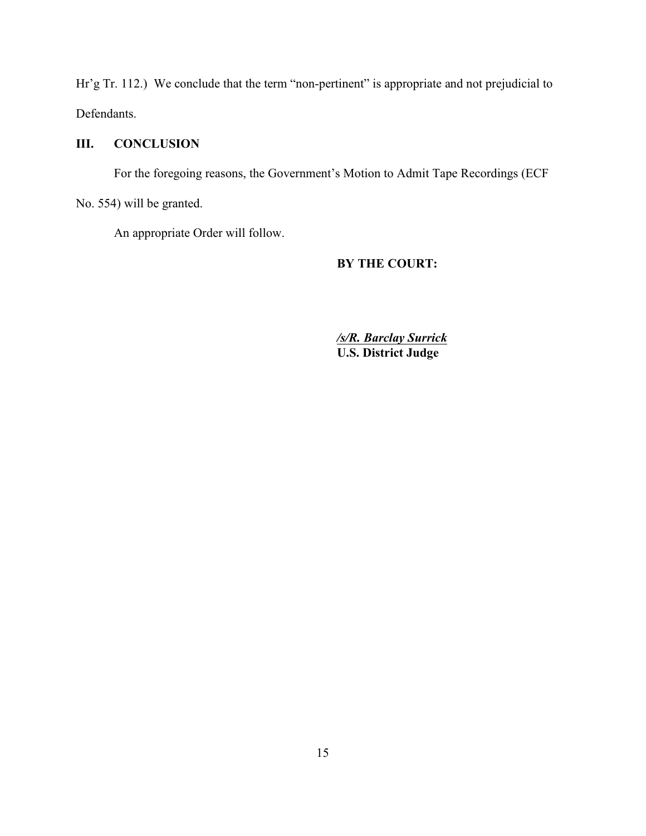Hr'g Tr. 112.) We conclude that the term "non-pertinent" is appropriate and not prejudicial to Defendants.

# **III. CONCLUSION**

For the foregoing reasons, the Government's Motion to Admit Tape Recordings (ECF No. 554) will be granted.

An appropriate Order will follow.

# **BY THE COURT:**

*/s/R. Barclay Surrick* **U.S. District Judge**